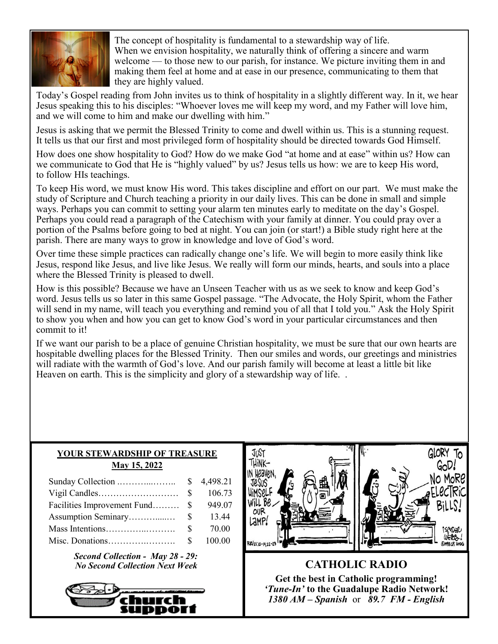

The concept of hospitality is fundamental to a stewardship way of life. When we envision hospitality, we naturally think of offering a sincere and warm welcome — to those new to our parish, for instance. We picture inviting them in and making them feel at home and at ease in our presence, communicating to them that they are highly valued.

Today's Gospel reading from John invites us to think of hospitality in a slightly different way. In it, we hear Jesus speaking this to his disciples: "Whoever loves me will keep my word, and my Father will love him, and we will come to him and make our dwelling with him."

Jesus is asking that we permit the Blessed Trinity to come and dwell within us. This is a stunning request. It tells us that our first and most privileged form of hospitality should be directed towards God Himself.

How does one show hospitality to God? How do we make God "at home and at ease" within us? How can we communicate to God that He is "highly valued" by us? Jesus tells us how: we are to keep His word, to follow HIs teachings.

To keep His word, we must know His word. This takes discipline and effort on our part. We must make the study of Scripture and Church teaching a priority in our daily lives. This can be done in small and simple ways. Perhaps you can commit to setting your alarm ten minutes early to meditate on the day's Gospel. Perhaps you could read a paragraph of the Catechism with your family at dinner. You could pray over a portion of the Psalms before going to bed at night. You can join (or start!) a Bible study right here at the parish. There are many ways to grow in knowledge and love of God's word.

Over time these simple practices can radically change one's life. We will begin to more easily think like Jesus, respond like Jesus, and live like Jesus. We really will form our minds, hearts, and souls into a place where the Blessed Trinity is pleased to dwell.

How is this possible? Because we have an Unseen Teacher with us as we seek to know and keep God's word. Jesus tells us so later in this same Gospel passage. "The Advocate, the Holy Spirit, whom the Father will send in my name, will teach you everything and remind you of all that I told you." Ask the Holy Spirit to show you when and how you can get to know God's word in your particular circumstances and then commit to it!

If we want our parish to be a place of genuine Christian hospitality, we must be sure that our own hearts are hospitable dwelling places for the Blessed Trinity. Then our smiles and words, our greetings and ministries will radiate with the warmth of God's love. And our parish family will become at least a little bit like Heaven on earth. This is the simplicity and glory of a stewardship way of life...

## **YOUR STEWARDSHIP OF TREASURE May 15, 2022**

|                                |              | 106.73 |
|--------------------------------|--------------|--------|
| Facilities Improvement Fund \$ |              | 949.07 |
|                                |              | 13.44  |
|                                | $\mathbf{s}$ | 70.00  |
|                                |              | 100.00 |

*Second Collection - May 28 - 29: No Second Collection Next Week* **CATHOLIC RADIO** 





**Get the best in Catholic programming!**  *'Tune-In'* **to the Guadalupe Radio Network!** *1380 AM – Spanish* or *89.7 FM - English*

GLORY TO

GoD!

NO MoRE

ELECTRIC

BiLLS!

utos.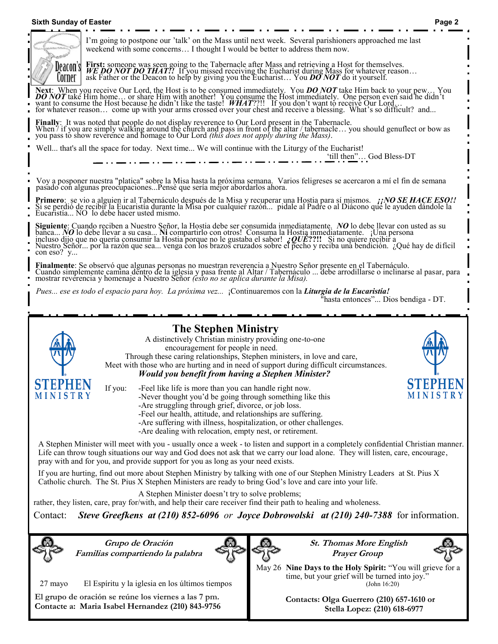## **Sixth Sunday of Easter Page 2**



I'm going to postpone our 'talk' on the Mass until next week. Several parishioners approached me last weekend with some concerns… I thought I would be better to address them now.

**First:** someone was seen going to the Tabernacle after Mass and retrieving a Host for themselves.<br>*WE DO NOT DO THAT!!* If you missed receiving the Eucharist during Mass for whatever reason... ask Father or the Deacon to help by giving you the Eucharist... You  $\vec{DONOT}$  do it yourself.

Next: When you receive Our Lord, the Host is to be consumed immediately. You **DO NOT** take Him back to your pew... You **DO NOT** take Him home... or share Him with another! You consume the Host immediately. One person even for whatever reason… come up with your arms crossed over your chest and receive a blessing. What's so difficult? and...

Finally: It was noted that people do not display reverence to Our Lord present in the Tabernacle.<br>When / if you are simply walking around the church and pass in front of the altar / tabernacle... you should genuflect or bo

Well... that's all the space for today. Next time... We will continue with the Liturgy of the Eucharist! 'till then"… God Bless-DT

Voy a posponer nuestra "platica" sobre la Misa hasta la próxima semana. Varios feligreses se acercaron a mí el fin de semana pasado con algunas preocupaciones...Pensé que sería mejor abordarlos ahora.

**Primero**: se vio a alguien ir al Tabernáculo después de la Misa y recuperar una Hostia para sí mismos. *¡¡NO SE HACE ESO!!* Si se perdió de recibir la Eucaristía durante la Misa por cualquier razón... pidale al Padre o al Diácono que le ayuden dándole la Eucaristía... NO lo debe hacer usted mismo.

**Siguiente**: Cuando reciben a Nuestro Señor, la Hostia debe ser consumida inmediatamente. *NO* lo debe llevar con usted as su banca... *NO* lo debe llevar a su casa... **Ni** compartirlo con otros! Consuma la Hostia inmediatamente. ¡Una persona incluso dijo que no quería consumir la Hostia porque no le gustaba el sabor! *¿QUÉ***??!!** Si no quiere recibir a Nuestro Señor... por la razón que sea... venga con los brazos cruzados sobre el pecho y reciba una bendición. ¿Qué hay de difícil con eso? y...

**Finalmente**: Se observó que algunas personas no muestran reverencia a Nuestro Señor presente en el Tabernáculo. Cuando simplemente camina dentro de la iglesia y pasa frente al Altar / Tabernáculo ... debe arrodillarse o inclinarse al pasar, para mostrar reverencia y homenaje a Nuestro Señor *(esto no se aplica durante la Misa).*

 *Pues... ese es todo el espacio para hoy. La próxima vez...* ¡Continuaremos con la *Liturgia de la Eucaristía!*

"hasta entonces"... Dios bendiga - DT.



**El grupo de oración se reúne los viernes a las 7 pm. Contacte a: Maria Isabel Hernandez (210) 843-9756**

**Contacts: Olga Guerrero (210) 657-1610 or Stella Lopez: (210) 618-6977**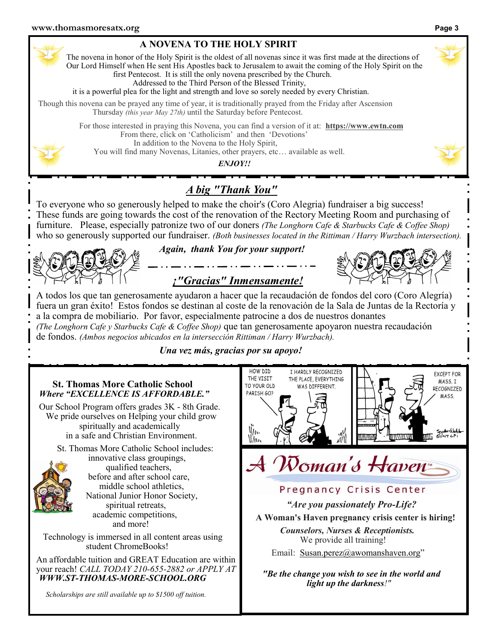| A NOVENA TO THE HOLY SPIRIT |  |  |
|-----------------------------|--|--|
|                             |  |  |

The novena in honor of the Holy Spirit is the oldest of all novenas since it was first made at the directions of Our Lord Himself when He sent His Apostles back to Jerusalem to await the coming of the Holy Spirit on the first Pentecost. It is still the only novena prescribed by the Church.

Addressed to the Third Person of the Blessed Trinity,

it is a powerful plea for the light and strength and love so sorely needed by every Christian.

Though this novena can be prayed any time of year, it is traditionally prayed from the Friday after Ascension Thursday *(this year May 27th)* until the Saturday before Pentecost.

> For those interested in praying this Novena, you can find a version of it at: **https://www.ewtn.com** From there, click on 'Catholicism' and then 'Devotions' In addition to the Novena to the Holy Spirit, You will find many Novenas, Litanies, other prayers, etc… available as well.

> > *ENJOY!!*

## *A big "Thank You"*

To everyone who so generously helped to make the choir's (Coro Alegria) fundraiser a big success! These funds are going towards the cost of the renovation of the Rectory Meeting Room and purchasing of furniture. Please, especially patronize two of our doners *(The Longhorn Cafe & Starbucks Cafe & Coffee Shop)* who so generously supported our fundraiser. *(Both businesses located in the Rittiman / Harry Wurzbach intersection*).



*Again, thank You for your support!*





A todos los que tan generosamente ayudaron a hacer que la recaudación de fondos del coro (Coro Alegría) fuera un gran éxito! Estos fondos se destinan al coste de la renovación de la Sala de Juntas de la Rectoría y a la compra de mobiliario. Por favor, especialmente patrocine a dos de nuestros donantes *(The Longhorn Cafe y Starbucks Cafe & Coffee Shop)* que tan generosamente apoyaron nuestra recaudación

de fondos. *(Ambos negocios ubicados en la intersección Rittiman / Harry Wurzbach).*

*Una vez más, gracias por su apoyo!*



*Scholarships are still available up to \$1500 off tuition.*